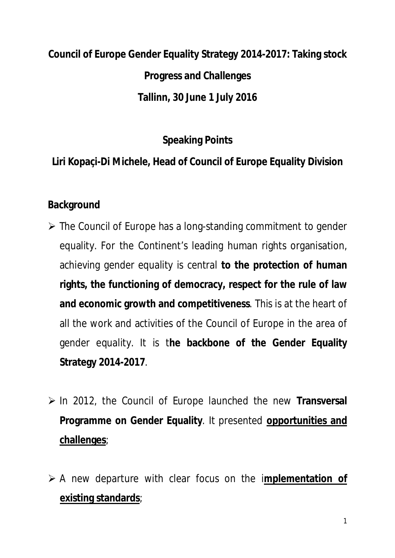# **Council of Europe Gender Equality Strategy 2014-2017: Taking stock Progress and Challenges Tallinn, 30 June 1 July 2016**

**Speaking Points**

**Liri Kopaçi-Di Michele, Head of Council of Europe Equality Division**

#### **Background**

- $\triangleright$  The Council of Europe has a long-standing commitment to gender equality. For the Continent's leading human rights organisation, achieving gender equality is central **to the protection of human rights, the functioning of democracy, respect for the rule of law and economic growth and competitiveness**. This is at the heart of all the work and activities of the Council of Europe in the area of gender equality. It is t**he backbone of the Gender Equality Strategy 2014-2017**.
- In 2012, the Council of Europe launched the new **Transversal Programme on Gender Equality**. It presented **opportunities and challenges**;
- A new departure with clear focus on the i**mplementation of existing standards**;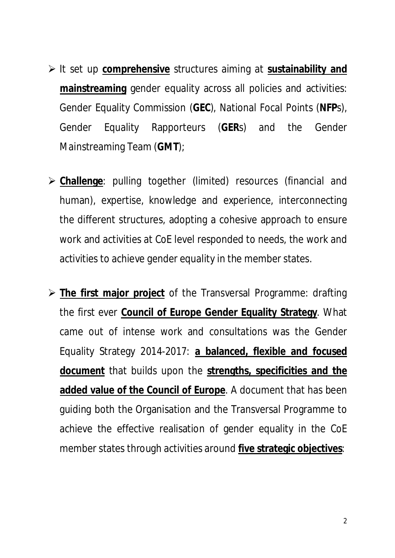- It set up **comprehensive** structures aiming at **sustainability and mainstreaming** gender equality across all policies and activities: Gender Equality Commission (**GEC**), National Focal Points (**NFP**s), Gender Equality Rapporteurs (**GER**s) and the Gender Mainstreaming Team (**GMT**);
- **Challenge**: pulling together (limited) resources (financial and human), expertise, knowledge and experience, interconnecting the different structures, adopting a cohesive approach to ensure work and activities at CoE level responded to needs, the work and activities to achieve gender equality in the member states.
- **The first major project** of the Transversal Programme: drafting the first ever **Council of Europe Gender Equality Strategy**. What came out of intense work and consultations was the Gender Equality Strategy 2014-2017: **a balanced, flexible and focused document** that builds upon the **strengths, specificities and the added value of the Council of Europe**. A document that has been guiding both the Organisation and the Transversal Programme to achieve the effective realisation of gender equality in the CoE member states through activities around **five strategic objectives**: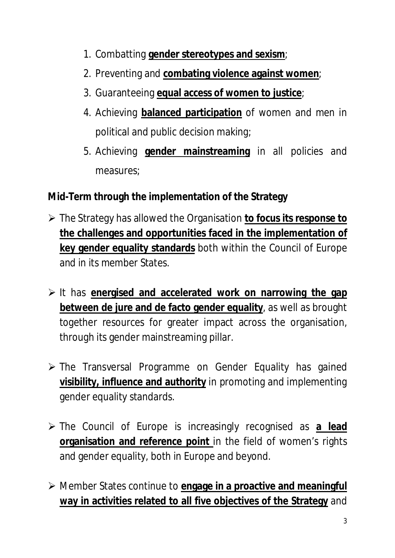- 1. Combatting **gender stereotypes and sexism**;
- 2. Preventing and **combating violence against women**;
- 3. Guaranteeing **equal access of women to justice**;
- 4. Achieving **balanced participation** of women and men in political and public decision making;
- 5. Achieving **gender mainstreaming** in all policies and measures;

**Mid-Term through the implementation of the Strategy**

- The Strategy has allowed the Organisation **to focus its response to the challenges and opportunities faced in the implementation of key gender equality standards** both within the Council of Europe and in its member States.
- It has **energised and accelerated work on narrowing the gap between de jure and de facto gender equality**, as well as brought together resources for greater impact across the organisation, through its gender mainstreaming pillar.
- $\triangleright$  The Transversal Programme on Gender Equality has gained **visibility, influence and authority** in promoting and implementing gender equality standards.
- The Council of Europe is increasingly recognised as **a lead organisation and reference point** in the field of women's rights and gender equality, both in Europe and beyond.
- Member States continue to **engage in a proactive and meaningful way in activities related to all five objectives of the Strategy** and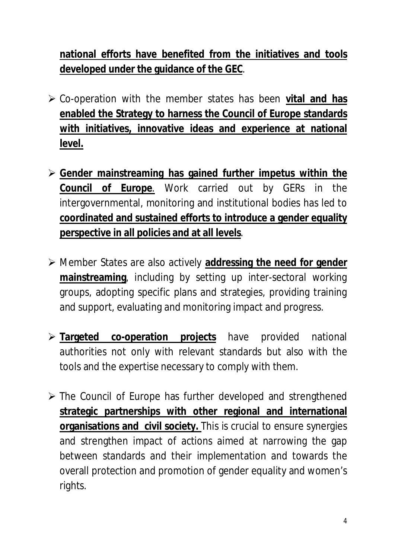**national efforts have benefited from the initiatives and tools developed under the guidance of the GEC**.

- Co-operation with the member states has been **vital and has enabled the Strategy to harness the Council of Europe standards with initiatives, innovative ideas and experience at national level.**
- **Gender mainstreaming has gained further impetus within the Council of Europe**. Work carried out by GERs in the intergovernmental, monitoring and institutional bodies has led to **coordinated and sustained efforts to introduce a gender equality perspective in all policies and at all levels**.
- Member States are also actively **addressing the need for gender mainstreaming**, including by setting up inter-sectoral working groups, adopting specific plans and strategies, providing training and support, evaluating and monitoring impact and progress.
- **Targeted co-operation projects** have provided national authorities not only with relevant standards but also with the tools and the expertise necessary to comply with them.
- $\triangleright$  The Council of Europe has further developed and strengthened **strategic partnerships with other regional and international organisations and civil society.** This is crucial to ensure synergies and strengthen impact of actions aimed at narrowing the gap between standards and their implementation and towards the overall protection and promotion of gender equality and women's rights.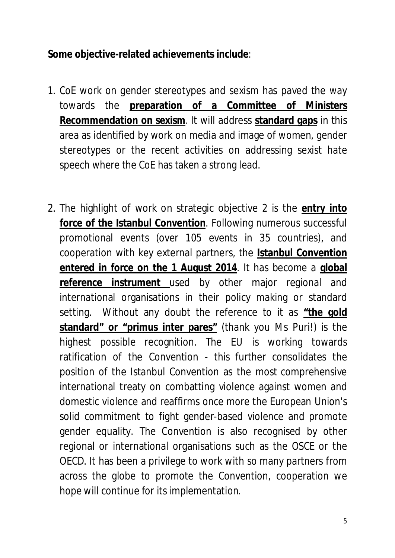**Some objective-related achievements include**:

- 1. CoE work on gender stereotypes and sexism has paved the way towards the **preparation of a Committee of Ministers Recommendation on sexism**. It will address **standard gaps** in this area as identified by work on media and image of women, gender stereotypes or the recent activities on addressing sexist hate speech where the CoE has taken a strong lead.
- 2. The highlight of work on strategic objective 2 is the **entry into force of the Istanbul Convention**. Following numerous successful promotional events (over 105 events in 35 countries), and cooperation with key external partners, the **Istanbul Convention entered in force on the 1 August 2014**. It has become a **global reference instrument** used by other major regional and international organisations in their policy making or standard setting. Without any doubt the reference to it as **"the gold standard" or "primus inter pares"** (thank you Ms Puri!) is the highest possible recognition. The EU is working towards ratification of the Convention - this further consolidates the position of the Istanbul Convention as the most comprehensive international treaty on combatting violence against women and domestic violence and reaffirms once more the European Union's solid commitment to fight gender-based violence and promote gender equality. The Convention is also recognised by other regional or international organisations such as the OSCE or the OECD. It has been a privilege to work with so many partners from across the globe to promote the Convention, cooperation we hope will continue for its implementation.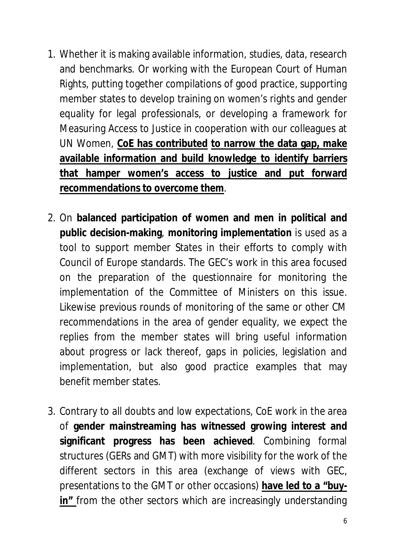- 1. Whether it is making available information, studies, data, research and benchmarks. Or working with the European Court of Human Rights, putting together compilations of good practice, supporting member states to develop training on women's rights and gender equality for legal professionals, or developing a framework for Measuring Access to Justice in cooperation with our colleagues at UN Women, **CoE has contributed to narrow the data gap, make available information and build knowledge to identify barriers that hamper women's access to justice and put forward recommendations to overcome them**.
- 2. On **balanced participation of women and men in political and public decision-making**, **monitoring implementation** is used as a tool to support member States in their efforts to comply with Council of Europe standards. The GEC's work in this area focused on the preparation of the questionnaire for monitoring the implementation of the Committee of Ministers on this issue. Likewise previous rounds of monitoring of the same or other CM recommendations in the area of gender equality, we expect the replies from the member states will bring useful information about progress or lack thereof, gaps in policies, legislation and implementation, but also good practice examples that may benefit member states.
- 3. Contrary to all doubts and low expectations, CoE work in the area of **gender mainstreaming has witnessed growing interest and significant progress has been achieved**. Combining formal structures (GERs and GMT) with more visibility for the work of the different sectors in this area (exchange of views with GEC, presentations to the GMT or other occasions) **have led to a "buyin"** from the other sectors which are increasingly understanding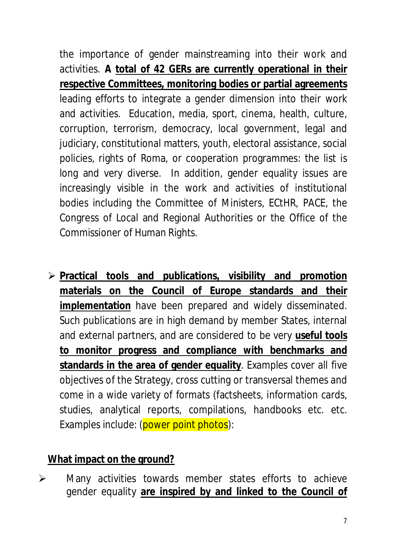the importance of gender mainstreaming into their work and activities. **A total of 42 GERs are currently operational in their respective Committees, monitoring bodies or partial agreements** leading efforts to integrate a gender dimension into their work and activities. Education, media, sport, cinema, health, culture, corruption, terrorism, democracy, local government, legal and judiciary, constitutional matters, youth, electoral assistance, social policies, rights of Roma, or cooperation programmes: the list is long and very diverse. In addition, gender equality issues are increasingly visible in the work and activities of institutional bodies including the Committee of Ministers, ECtHR, PACE, the Congress of Local and Regional Authorities or the Office of the Commissioner of Human Rights.

 **Practical tools and publications, visibility and promotion materials on the Council of Europe standards and their implementation** have been prepared and widely disseminated. Such publications are in high demand by member States, internal and external partners, and are considered to be very **useful tools to monitor progress and compliance with benchmarks and standards in the area of gender equality**. Examples cover all five objectives of the Strategy, cross cutting or transversal themes and come in a wide variety of formats (factsheets, information cards, studies, analytical reports, compilations, handbooks etc. etc. Examples include: (power point photos):

#### **What impact on the ground?**

 $\triangleright$  Many activities towards member states efforts to achieve gender equality **are inspired by and linked to the Council of**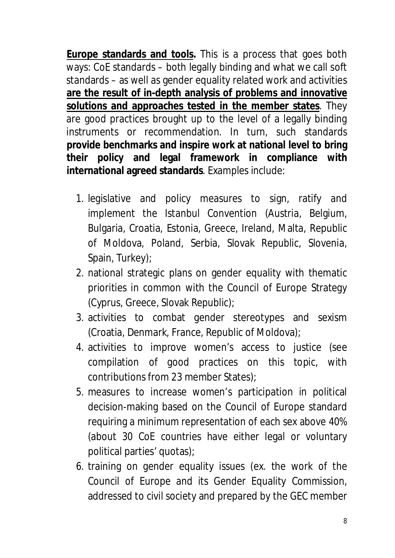**Europe standards and tools.** This is a process that goes both ways: CoE standards – both legally binding and what we call soft standards – as well as gender equality related work and activities **are the result of in-depth analysis of problems and innovative solutions and approaches tested in the member states**. They are good practices brought up to the level of a legally binding instruments or recommendation. In turn, such standards **provide benchmarks and inspire work at national level to bring their policy and legal framework in compliance with international agreed standards**. Examples include:

- 1. legislative and policy measures to sign, ratify and implement the Istanbul Convention (Austria, Belgium, Bulgaria, Croatia, Estonia, Greece, Ireland, Malta, Republic of Moldova, Poland, Serbia, Slovak Republic, Slovenia, Spain, Turkey);
- 2. national strategic plans on gender equality with thematic priorities in common with the Council of Europe Strategy (Cyprus, Greece, Slovak Republic);
- 3. activities to combat gender stereotypes and sexism (Croatia, Denmark, France, Republic of Moldova);
- 4. activities to improve women's access to justice (see compilation of good practices on this topic, with contributions from 23 member States);
- 5. measures to increase women's participation in political decision-making based on the Council of Europe standard requiring a minimum representation of each sex above 40% (about 30 CoE countries have either legal or voluntary political parties' quotas);
- 6. training on gender equality issues (ex. the work of the Council of Europe and its Gender Equality Commission, addressed to civil society and prepared by the GEC member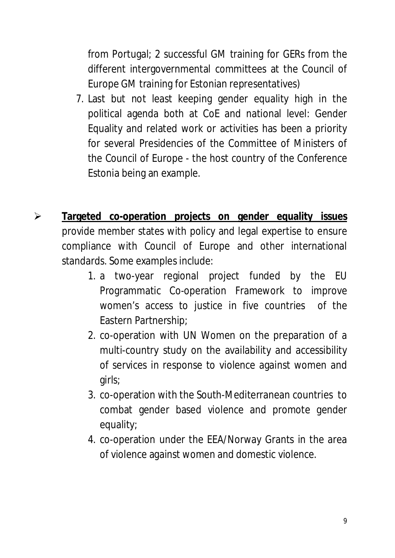from Portugal; 2 successful GM training for GERs from the different intergovernmental committees at the Council of Europe GM training for Estonian representatives)

- 7. Last but not least keeping gender equality high in the political agenda both at CoE and national level: Gender Equality and related work or activities has been a priority for several Presidencies of the Committee of Ministers of the Council of Europe - the host country of the Conference Estonia being an example.
- **Targeted co-operation projects on gender equality issues** provide member states with policy and legal expertise to ensure compliance with Council of Europe and other international standards. Some examples include:
	- 1. a two-year regional project funded by the EU Programmatic Co-operation Framework to improve women's access to justice in five countries of the Eastern Partnership;
	- 2. co-operation with UN Women on the preparation of a multi-country study on the availability and accessibility of services in response to violence against women and girls;
	- 3. co-operation with the South-Mediterranean countries to combat gender based violence and promote gender equality;
	- 4. co-operation under the EEA/Norway Grants in the area of violence against women and domestic violence.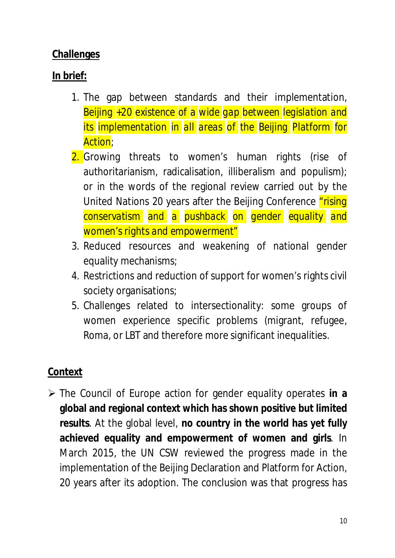#### **Challenges**

### **In brief:**

- 1. The gap between standards and their implementation, *Beijing +20 existence of a wide gap between legislation and its implementation in all areas of the Beijing Platform for Action*;
- 2. Growing threats to women's human rights (rise of authoritarianism, radicalisation, illiberalism and populism); or in the words of the regional review carried out by the United Nations 20 years after the Beijing Conference "*rising conservatism and a pushback on gender equality and women's rights and empowerment"*
- 3. Reduced resources and weakening of national gender equality mechanisms;
- 4. Restrictions and reduction of support for women's rights civil society organisations;
- 5. Challenges related to intersectionality: some groups of women experience specific problems (migrant, refugee, Roma, or LBT and therefore more significant inequalities.

## **Context**

 The Council of Europe action for gender equality operates **in a global and regional context which has shown positive but limited results**. At the global level, **no country in the world has yet fully achieved equality and empowerment of women and girls**. In March 2015, the UN CSW reviewed the progress made in the implementation of the Beijing Declaration and Platform for Action, 20 years after its adoption. The conclusion was that progress has